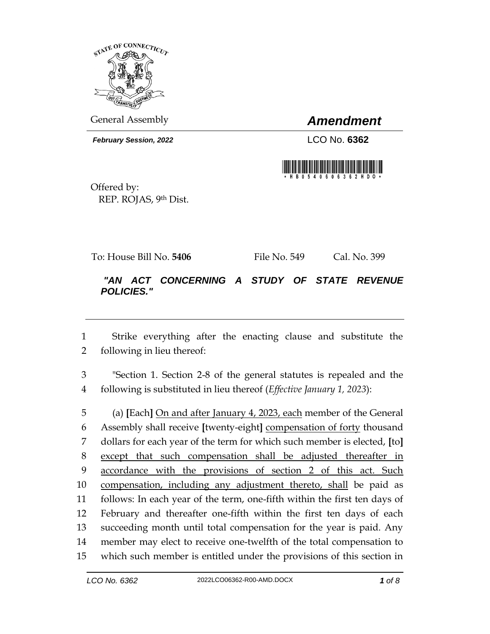

General Assembly *Amendment*

*February Session, 2022* LCO No. **6362**



Offered by: REP. ROJAS, 9th Dist.

To: House Bill No. **5406** File No. 549 Cal. No. 399

## *"AN ACT CONCERNING A STUDY OF STATE REVENUE POLICIES."*

 Strike everything after the enacting clause and substitute the following in lieu thereof:

 "Section 1. Section 2-8 of the general statutes is repealed and the following is substituted in lieu thereof (*Effective January 1, 2023*):

 (a) **[**Each**]** On and after January 4, 2023, each member of the General Assembly shall receive **[**twenty-eight**]** compensation of forty thousand dollars for each year of the term for which such member is elected, **[**to**]**  except that such compensation shall be adjusted thereafter in accordance with the provisions of section 2 of this act. Such compensation, including any adjustment thereto, shall be paid as follows: In each year of the term, one-fifth within the first ten days of February and thereafter one-fifth within the first ten days of each succeeding month until total compensation for the year is paid. Any member may elect to receive one-twelfth of the total compensation to which such member is entitled under the provisions of this section in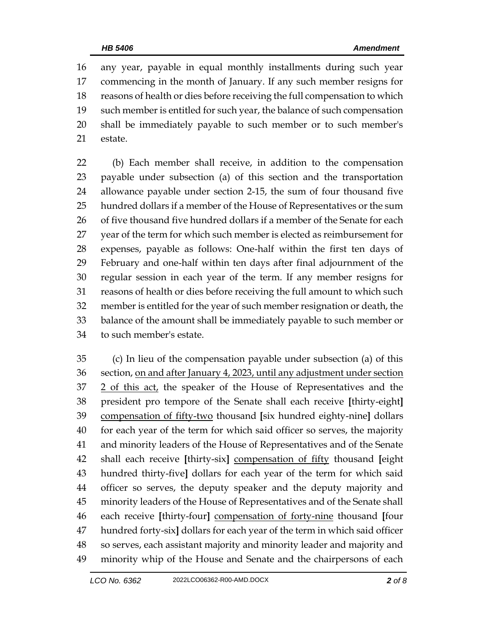any year, payable in equal monthly installments during such year commencing in the month of January. If any such member resigns for reasons of health or dies before receiving the full compensation to which such member is entitled for such year, the balance of such compensation shall be immediately payable to such member or to such member's estate.

 (b) Each member shall receive, in addition to the compensation payable under subsection (a) of this section and the transportation allowance payable under section 2-15, the sum of four thousand five hundred dollars if a member of the House of Representatives or the sum 26 of five thousand five hundred dollars if a member of the Senate for each year of the term for which such member is elected as reimbursement for expenses, payable as follows: One-half within the first ten days of February and one-half within ten days after final adjournment of the regular session in each year of the term. If any member resigns for reasons of health or dies before receiving the full amount to which such member is entitled for the year of such member resignation or death, the balance of the amount shall be immediately payable to such member or to such member's estate.

 (c) In lieu of the compensation payable under subsection (a) of this section, on and after January 4, 2023, until any adjustment under section 2 of this act, the speaker of the House of Representatives and the president pro tempore of the Senate shall each receive **[**thirty-eight**]** compensation of fifty-two thousand **[**six hundred eighty-nine**]** dollars for each year of the term for which said officer so serves, the majority and minority leaders of the House of Representatives and of the Senate shall each receive **[**thirty-six**]** compensation of fifty thousand **[**eight hundred thirty-five**]** dollars for each year of the term for which said officer so serves, the deputy speaker and the deputy majority and minority leaders of the House of Representatives and of the Senate shall each receive **[**thirty-four**]** compensation of forty-nine thousand **[**four hundred forty-six**]** dollars for each year of the term in which said officer so serves, each assistant majority and minority leader and majority and minority whip of the House and Senate and the chairpersons of each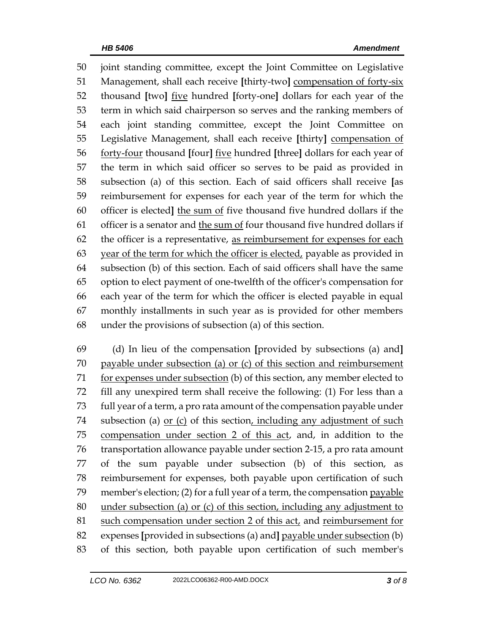joint standing committee, except the Joint Committee on Legislative Management, shall each receive **[**thirty-two**]** compensation of forty-six thousand **[**two**]** five hundred **[**forty-one**]** dollars for each year of the term in which said chairperson so serves and the ranking members of each joint standing committee, except the Joint Committee on Legislative Management, shall each receive **[**thirty**]** compensation of forty-four thousand **[**four**]** five hundred **[**three**]** dollars for each year of the term in which said officer so serves to be paid as provided in subsection (a) of this section. Each of said officers shall receive **[**as reimbursement for expenses for each year of the term for which the officer is elected**]** the sum of five thousand five hundred dollars if the officer is a senator and the sum of four thousand five hundred dollars if 62 the officer is a representative, as reimbursement for expenses for each 63 year of the term for which the officer is elected, payable as provided in subsection (b) of this section. Each of said officers shall have the same option to elect payment of one-twelfth of the officer's compensation for each year of the term for which the officer is elected payable in equal monthly installments in such year as is provided for other members under the provisions of subsection (a) of this section.

 (d) In lieu of the compensation **[**provided by subsections (a) and**]** payable under subsection (a) or (c) of this section and reimbursement 71 for expenses under subsection (b) of this section, any member elected to fill any unexpired term shall receive the following: (1) For less than a full year of a term, a pro rata amount of the compensation payable under 74 subsection (a) or (c) of this section, including any adjustment of such compensation under section 2 of this act, and, in addition to the transportation allowance payable under section 2-15, a pro rata amount of the sum payable under subsection (b) of this section, as reimbursement for expenses, both payable upon certification of such 79 member's election; (2) for a full year of a term, the compensation payable under subsection (a) or (c) of this section, including any adjustment to such compensation under section 2 of this act, and reimbursement for expenses **[**provided in subsections (a) and**]** payable under subsection (b) of this section, both payable upon certification of such member's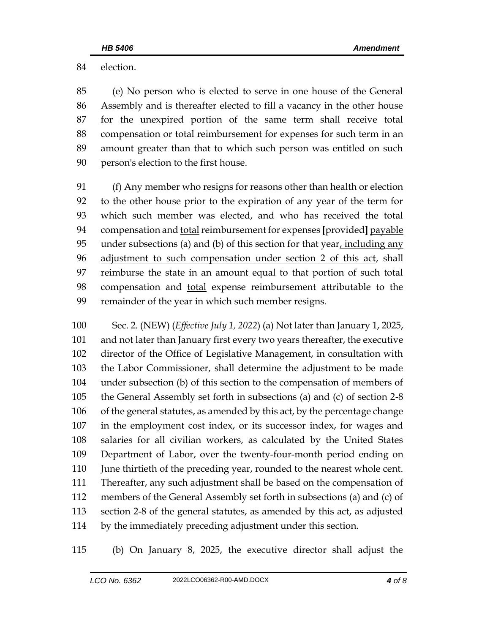election.

 (e) No person who is elected to serve in one house of the General Assembly and is thereafter elected to fill a vacancy in the other house for the unexpired portion of the same term shall receive total compensation or total reimbursement for expenses for such term in an amount greater than that to which such person was entitled on such person's election to the first house.

 (f) Any member who resigns for reasons other than health or election to the other house prior to the expiration of any year of the term for which such member was elected, and who has received the total 94 compensation and total reimbursement for expenses [provided] payable under subsections (a) and (b) of this section for that year, including any adjustment to such compensation under section 2 of this act, shall reimburse the state in an amount equal to that portion of such total compensation and total expense reimbursement attributable to the remainder of the year in which such member resigns.

 Sec. 2. (NEW) (*Effective July 1, 2022*) (a) Not later than January 1, 2025, and not later than January first every two years thereafter, the executive director of the Office of Legislative Management, in consultation with the Labor Commissioner, shall determine the adjustment to be made under subsection (b) of this section to the compensation of members of the General Assembly set forth in subsections (a) and (c) of section 2-8 of the general statutes, as amended by this act, by the percentage change in the employment cost index, or its successor index, for wages and salaries for all civilian workers, as calculated by the United States Department of Labor, over the twenty-four-month period ending on June thirtieth of the preceding year, rounded to the nearest whole cent. Thereafter, any such adjustment shall be based on the compensation of members of the General Assembly set forth in subsections (a) and (c) of section 2-8 of the general statutes, as amended by this act, as adjusted by the immediately preceding adjustment under this section.

(b) On January 8, 2025, the executive director shall adjust the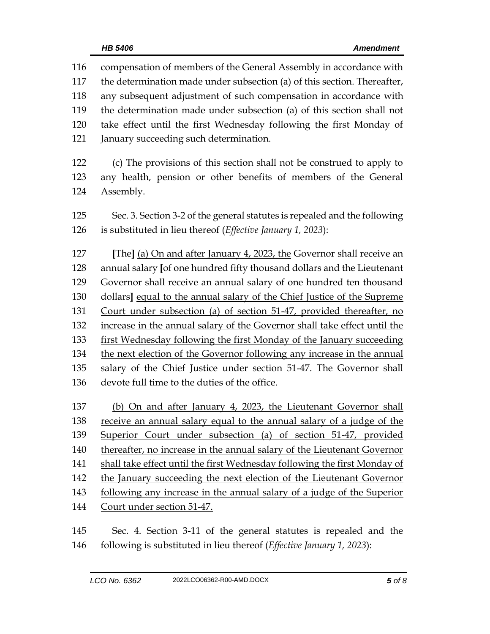compensation of members of the General Assembly in accordance with the determination made under subsection (a) of this section. Thereafter, any subsequent adjustment of such compensation in accordance with the determination made under subsection (a) of this section shall not take effect until the first Wednesday following the first Monday of January succeeding such determination. (c) The provisions of this section shall not be construed to apply to any health, pension or other benefits of members of the General Assembly. Sec. 3. Section 3-2 of the general statutes is repealed and the following is substituted in lieu thereof (*Effective January 1, 2023*): **[**The**]** (a) On and after January 4, 2023, the Governor shall receive an annual salary **[**of one hundred fifty thousand dollars and the Lieutenant Governor shall receive an annual salary of one hundred ten thousand dollars**]** equal to the annual salary of the Chief Justice of the Supreme Court under subsection (a) of section 51-47, provided thereafter, no increase in the annual salary of the Governor shall take effect until the first Wednesday following the first Monday of the January succeeding the next election of the Governor following any increase in the annual salary of the Chief Justice under section 51-47. The Governor shall devote full time to the duties of the office. (b) On and after January 4, 2023, the Lieutenant Governor shall receive an annual salary equal to the annual salary of a judge of the Superior Court under subsection (a) of section 51-47, provided 140 thereafter, no increase in the annual salary of the Lieutenant Governor shall take effect until the first Wednesday following the first Monday of 142 the January succeeding the next election of the Lieutenant Governor 143 following any increase in the annual salary of a judge of the Superior Court under section 51-47. Sec. 4. Section 3-11 of the general statutes is repealed and the

following is substituted in lieu thereof (*Effective January 1, 2023*):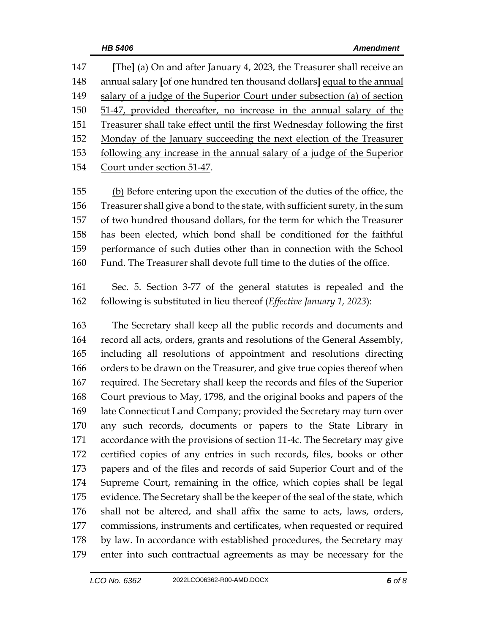**[**The**]** (a) On and after January 4, 2023, the Treasurer shall receive an annual salary **[**of one hundred ten thousand dollars**]** equal to the annual salary of a judge of the Superior Court under subsection (a) of section 51-47, provided thereafter, no increase in the annual salary of the Treasurer shall take effect until the first Wednesday following the first Monday of the January succeeding the next election of the Treasurer following any increase in the annual salary of a judge of the Superior Court under section 51-47.

 (b) Before entering upon the execution of the duties of the office, the Treasurer shall give a bond to the state, with sufficient surety, in the sum of two hundred thousand dollars, for the term for which the Treasurer has been elected, which bond shall be conditioned for the faithful performance of such duties other than in connection with the School Fund. The Treasurer shall devote full time to the duties of the office.

 Sec. 5. Section 3-77 of the general statutes is repealed and the following is substituted in lieu thereof (*Effective January 1, 2023*):

 The Secretary shall keep all the public records and documents and record all acts, orders, grants and resolutions of the General Assembly, including all resolutions of appointment and resolutions directing 166 orders to be drawn on the Treasurer, and give true copies thereof when required. The Secretary shall keep the records and files of the Superior Court previous to May, 1798, and the original books and papers of the late Connecticut Land Company; provided the Secretary may turn over any such records, documents or papers to the State Library in accordance with the provisions of section 11-4c. The Secretary may give certified copies of any entries in such records, files, books or other papers and of the files and records of said Superior Court and of the Supreme Court, remaining in the office, which copies shall be legal evidence. The Secretary shall be the keeper of the seal of the state, which shall not be altered, and shall affix the same to acts, laws, orders, commissions, instruments and certificates, when requested or required 178 by law. In accordance with established procedures, the Secretary may enter into such contractual agreements as may be necessary for the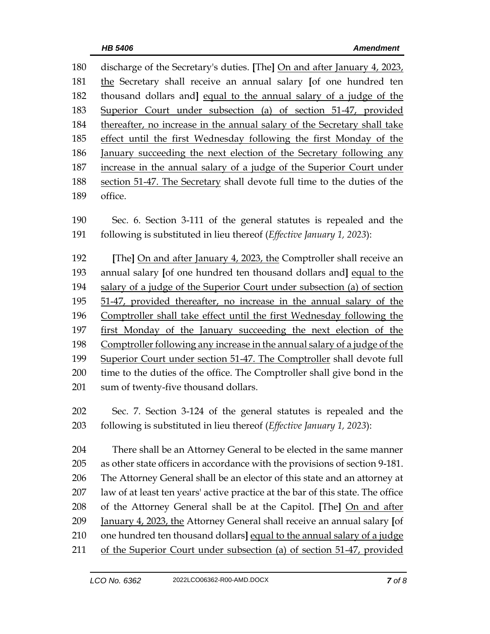discharge of the Secretary's duties. **[**The**]** On and after January 4, 2023, the Secretary shall receive an annual salary **[**of one hundred ten thousand dollars and**]** equal to the annual salary of a judge of the Superior Court under subsection (a) of section 51-47, provided thereafter, no increase in the annual salary of the Secretary shall take effect until the first Wednesday following the first Monday of the January succeeding the next election of the Secretary following any increase in the annual salary of a judge of the Superior Court under section 51-47. The Secretary shall devote full time to the duties of the office.

 Sec. 6. Section 3-111 of the general statutes is repealed and the following is substituted in lieu thereof (*Effective January 1, 2023*):

 **[**The**]** On and after January 4, 2023, the Comptroller shall receive an annual salary **[**of one hundred ten thousand dollars and**]** equal to the salary of a judge of the Superior Court under subsection (a) of section 51-47, provided thereafter, no increase in the annual salary of the Comptroller shall take effect until the first Wednesday following the first Monday of the January succeeding the next election of the Comptroller following any increase in the annual salary of a judge of the Superior Court under section 51-47. The Comptroller shall devote full time to the duties of the office. The Comptroller shall give bond in the sum of twenty-five thousand dollars.

 Sec. 7. Section 3-124 of the general statutes is repealed and the following is substituted in lieu thereof (*Effective January 1, 2023*):

 There shall be an Attorney General to be elected in the same manner as other state officers in accordance with the provisions of section 9-181. The Attorney General shall be an elector of this state and an attorney at law of at least ten years' active practice at the bar of this state. The office of the Attorney General shall be at the Capitol. **[**The**]** On and after January 4, 2023, the Attorney General shall receive an annual salary **[**of one hundred ten thousand dollars**]** equal to the annual salary of a judge of the Superior Court under subsection (a) of section 51-47, provided